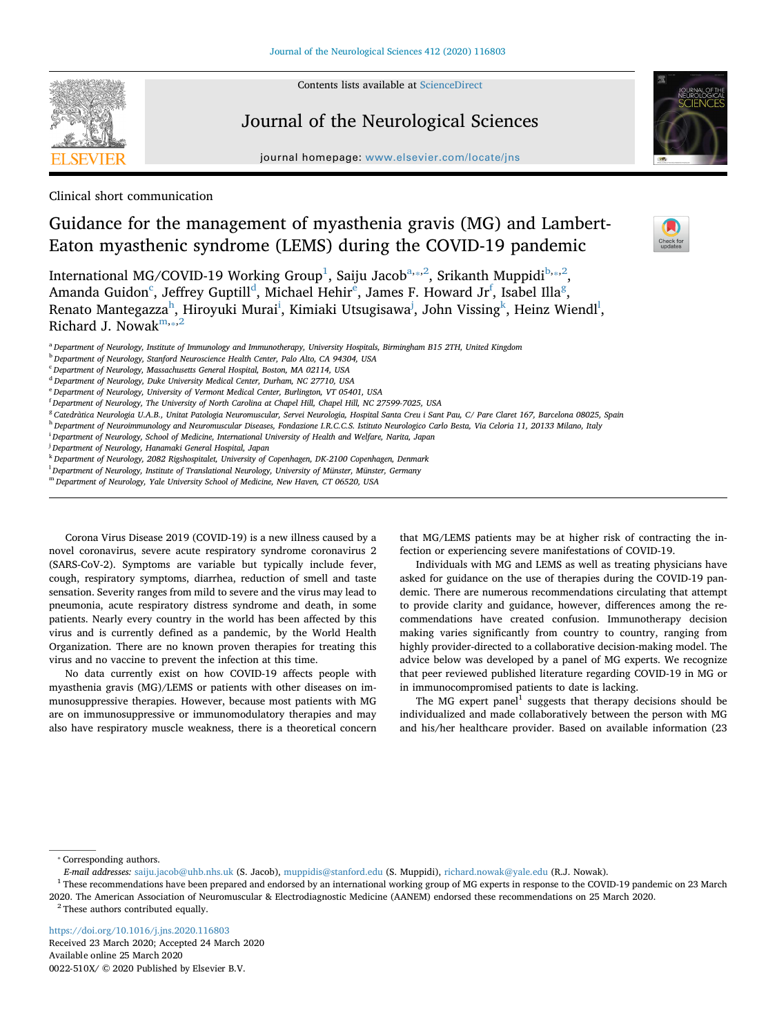Contents lists available at [ScienceDirect](http://www.sciencedirect.com/science/journal/0022510X)

# Journal of the Neurological Sciences

journal homepage: [www.elsevier.com/locate/jns](https://www.elsevier.com/locate/jns)



Clinical short communication

# Guidance for the management of myasthenia gravis (MG) and Lambert-Eaton myasthenic syndrome (LEMS) during the COVID-19 pandemic

Intern[a](#page-0-1)tional MG/COVID-19 Working Group $^1$ , Saiju Jaco[b](#page-0-4) $^{\text{a}_{\text{a}}$  ,  $^2$  $^2$ , Srikanth Muppidi $^{\text{b}_{\text{a}}$  ,  $^2}$ , Aman[d](#page-0-6)a Guidon $^{\rm c}$ , J[e](#page-0-7)ffrey Guptill $^{\rm d}$ , Michael Hehir $^{\rm e}$ , James F. Howard Jr $^{\rm f}$ , Isabel Illa $^{\rm g}$  $^{\rm g}$  $^{\rm g}$ , Renato Mantegazza<sup>h</sup>, Hiroyuki Murai<sup>i</sup>, Kimiaki Utsugisawa<sup>[j](#page-0-12)</sup>, John Vissing<sup>[k](#page-0-13)</sup>, Heinz Wiendl<sup>l</sup>, Richard J. Nowak<sup>[m,](#page-0-15)\*[,2](#page-0-3)</sup>

<span id="page-0-1"></span>

<span id="page-0-4"></span><sup>b</sup> *Department of Neurology, Stanford Neuroscience Health Center, Palo Alto, CA 94304, USA*

- <span id="page-0-7"></span><sup>e</sup> *Department of Neurology, University of Vermont Medical Center, Burlington, VT 05401, USA*
- <span id="page-0-8"></span>f *Department of Neurology, The University of North Carolina at Chapel Hill, Chapel Hill, NC 27599-7025, USA*
- <span id="page-0-9"></span><sup>g</sup> *Catedràtica Neurologia U.A.B., Unitat Patologia Neuromuscular, Servei Neurologia, Hospital Santa Creu i Sant Pau, C/ Pare Claret 167, Barcelona 08025, Spain*
- <span id="page-0-10"></span><sup>h</sup> *Department of Neuroimmunology and Neuromuscular Diseases, Fondazione I.R.C.C.S. Istituto Neurologico Carlo Besta, Via Celoria 11, 20133 Milano, Italy*
- <span id="page-0-11"></span>i *Department of Neurology, School of Medicine, International University of Health and Welfare, Narita, Japan*

<span id="page-0-12"></span>j *Department of Neurology, Hanamaki General Hospital, Japan*

- <span id="page-0-13"></span><sup>k</sup> *Department of Neurology, 2082 Rigshospitalet, University of Copenhagen, DK-2100 Copenhagen, Denmark*
- <span id="page-0-14"></span>l *Department of Neurology, Institute of Translational Neurology, University of Münster, Münster, Germany*
- <span id="page-0-15"></span><sup>m</sup> *Department of Neurology, Yale University School of Medicine, New Haven, CT 06520, USA*

Corona Virus Disease 2019 (COVID-19) is a new illness caused by a novel coronavirus, severe acute respiratory syndrome coronavirus 2 (SARS-CoV-2). Symptoms are variable but typically include fever, cough, respiratory symptoms, diarrhea, reduction of smell and taste sensation. Severity ranges from mild to severe and the virus may lead to pneumonia, acute respiratory distress syndrome and death, in some patients. Nearly every country in the world has been affected by this virus and is currently defined as a pandemic, by the World Health Organization. There are no known proven therapies for treating this virus and no vaccine to prevent the infection at this time.

No data currently exist on how COVID-19 affects people with myasthenia gravis (MG)/LEMS or patients with other diseases on immunosuppressive therapies. However, because most patients with MG are on immunosuppressive or immunomodulatory therapies and may also have respiratory muscle weakness, there is a theoretical concern

that MG/LEMS patients may be at higher risk of contracting the infection or experiencing severe manifestations of COVID-19.

Individuals with MG and LEMS as well as treating physicians have asked for guidance on the use of therapies during the COVID-19 pandemic. There are numerous recommendations circulating that attempt to provide clarity and guidance, however, differences among the recommendations have created confusion. Immunotherapy decision making varies significantly from country to country, ranging from highly provider-directed to a collaborative decision-making model. The advice below was developed by a panel of MG experts. We recognize that peer reviewed published literature regarding COVID-19 in MG or in immunocompromised patients to date is lacking.

The MG expert panel<sup>1</sup> suggests that therapy decisions should be individualized and made collaboratively between the person with MG and his/her healthcare provider. Based on available information (23

<span id="page-0-2"></span>⁎ Corresponding authors.

<span id="page-0-3"></span><span id="page-0-0"></span> $1$  These recommendations have been prepared and endorsed by an international working group of MG experts in response to the COVID-19 pandemic on 23 March 2020. The American Association of Neuromuscular & Electrodiagnostic Medicine (AANEM) endorsed these recommendations on 25 March 2020.  $2$  These authors contributed equally.

<https://doi.org/10.1016/j.jns.2020.116803> Received 23 March 2020; Accepted 24 March 2020 Available online 25 March 2020 0022-510X/ © 2020 Published by Elsevier B.V.



<span id="page-0-5"></span><sup>c</sup> *Department of Neurology, Massachusetts General Hospital, Boston, MA 02114, USA*

<span id="page-0-6"></span><sup>d</sup> *Department of Neurology, Duke University Medical Center, Durham, NC 27710, USA*

*E-mail addresses:* [saiju.jacob@uhb.nhs.uk](mailto:saiju.jacob@uhb.nhs.uk) (S. Jacob), [muppidis@stanford.edu](mailto:muppidis@stanford.edu) (S. Muppidi), [richard.nowak@yale.edu](mailto:richard.nowak@yale.edu) (R.J. Nowak).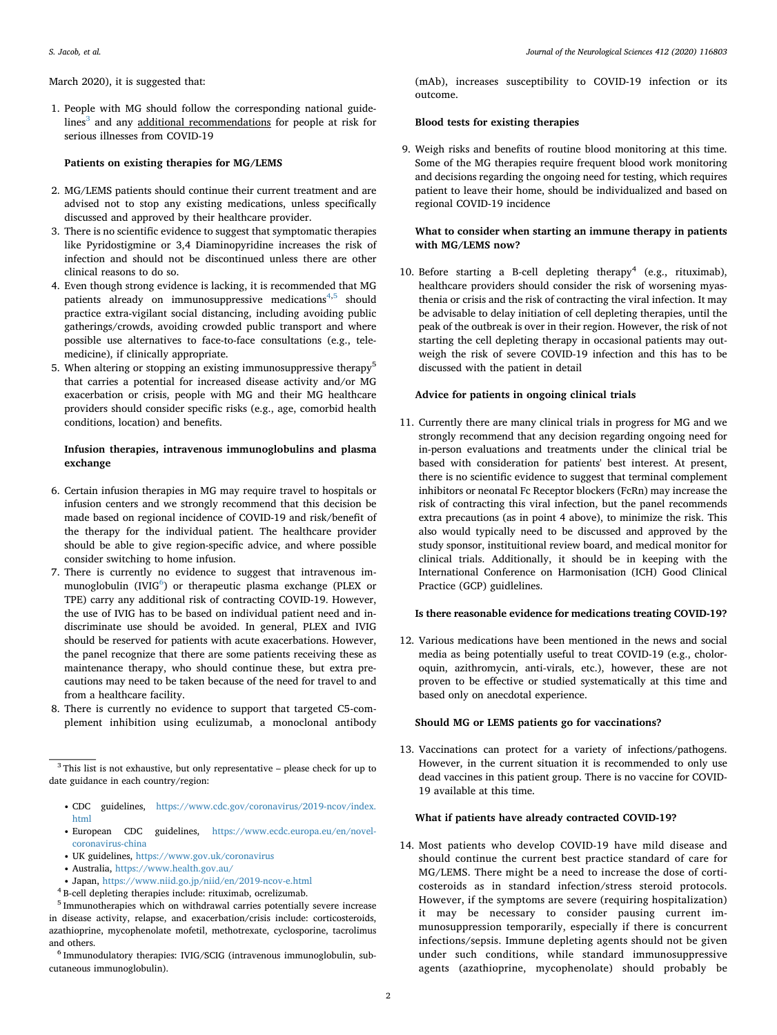March 2020), it is suggested that:

1. People with MG should follow the corresponding national guide-lines<sup>[3](#page-1-0)</sup> and any additional recommendations for people at risk for serious illnesses from COVID-19

#### **Patients on existing therapies for MG/LEMS**

- 2. MG/LEMS patients should continue their current treatment and are advised not to stop any existing medications, unless specifically discussed and approved by their healthcare provider.
- 3. There is no scientific evidence to suggest that symptomatic therapies like Pyridostigmine or 3,4 Diaminopyridine increases the risk of infection and should not be discontinued unless there are other clinical reasons to do so.
- 4. Even though strong evidence is lacking, it is recommended that MG patients already on immunosuppressive medications<sup>[4](#page-1-1)[,5](#page-1-2)</sup> should practice extra-vigilant social distancing, including avoiding public gatherings/crowds, avoiding crowded public transport and where possible use alternatives to face-to-face consultations (e.g., telemedicine), if clinically appropriate.
- 5. When altering or stopping an existing immunosuppressive therapy<sup>5</sup> that carries a potential for increased disease activity and/or MG exacerbation or crisis, people with MG and their MG healthcare providers should consider specific risks (e.g., age, comorbid health conditions, location) and benefits.

## **Infusion therapies, intravenous immunoglobulins and plasma exchange**

- 6. Certain infusion therapies in MG may require travel to hospitals or infusion centers and we strongly recommend that this decision be made based on regional incidence of COVID-19 and risk/benefit of the therapy for the individual patient. The healthcare provider should be able to give region-specific advice, and where possible consider switching to home infusion.
- 7. There is currently no evidence to suggest that intravenous im-munoglobulin (IVIG<sup>[6](#page-1-3)</sup>) or therapeutic plasma exchange (PLEX or TPE) carry any additional risk of contracting COVID-19. However, the use of IVIG has to be based on individual patient need and indiscriminate use should be avoided. In general, PLEX and IVIG should be reserved for patients with acute exacerbations. However, the panel recognize that there are some patients receiving these as maintenance therapy, who should continue these, but extra precautions may need to be taken because of the need for travel to and from a healthcare facility.
- 8. There is currently no evidence to support that targeted C5-complement inhibition using eculizumab, a monoclonal antibody

- CDC guidelines, [https://www.cdc.gov/coronavirus/2019-ncov/index.](https://www.cdc.gov/coronavirus/2019-ncov/index.html) [html](https://www.cdc.gov/coronavirus/2019-ncov/index.html)
- European CDC guidelines, [https://www.ecdc.europa.eu/en/novel](https://www.ecdc.europa.eu/en/novel-coronavirus-china)[coronavirus-china](https://www.ecdc.europa.eu/en/novel-coronavirus-china)
- UK guidelines, <https://www.gov.uk/coronavirus>
- 
- Australia, <https://www.health.gov.au/><br>• Japan, https://www.niid.go.jp/niid/en/2019-ncov-e.html
- <span id="page-1-1"></span> $^4$  B-cell depleting therapies include: rituximab, ocrelizumab.

#### <span id="page-1-3"></span><sup>6</sup> Immunodulatory therapies: IVIG/SCIG (intravenous immunoglobulin, subcutaneous immunoglobulin).

(mAb), increases susceptibility to COVID-19 infection or its outcome.

# **Blood tests for existing therapies**

9. Weigh risks and benefits of routine blood monitoring at this time. Some of the MG therapies require frequent blood work monitoring and decisions regarding the ongoing need for testing, which requires patient to leave their home, should be individualized and based on regional COVID-19 incidence

#### **What to consider when starting an immune therapy in patients with MG/LEMS now?**

10. Before starting a B-cell depleting therapy<sup>4</sup> (e.g., rituximab), healthcare providers should consider the risk of worsening myasthenia or crisis and the risk of contracting the viral infection. It may be advisable to delay initiation of cell depleting therapies, until the peak of the outbreak is over in their region. However, the risk of not starting the cell depleting therapy in occasional patients may outweigh the risk of severe COVID-19 infection and this has to be discussed with the patient in detail

#### **Advice for patients in ongoing clinical trials**

11. Currently there are many clinical trials in progress for MG and we strongly recommend that any decision regarding ongoing need for in-person evaluations and treatments under the clinical trial be based with consideration for patients' best interest. At present, there is no scientific evidence to suggest that terminal complement inhibitors or neonatal Fc Receptor blockers (FcRn) may increase the risk of contracting this viral infection, but the panel recommends extra precautions (as in point 4 above), to minimize the risk. This also would typically need to be discussed and approved by the study sponsor, instituitional review board, and medical monitor for clinical trials. Additionally, it should be in keeping with the International Conference on Harmonisation (ICH) Good Clinical Practice (GCP) guidlelines.

#### **Is there reasonable evidence for medications treating COVID-19?**

12. Various medications have been mentioned in the news and social media as being potentially useful to treat COVID-19 (e.g., choloroquin, azithromycin, anti-virals, etc.), however, these are not proven to be effective or studied systematically at this time and based only on anecdotal experience.

### **Should MG or LEMS patients go for vaccinations?**

13. Vaccinations can protect for a variety of infections/pathogens. However, in the current situation it is recommended to only use dead vaccines in this patient group. There is no vaccine for COVID-19 available at this time.

#### **What if patients have already contracted COVID-19?**

14. Most patients who develop COVID-19 have mild disease and should continue the current best practice standard of care for MG/LEMS. There might be a need to increase the dose of corticosteroids as in standard infection/stress steroid protocols. However, if the symptoms are severe (requiring hospitalization) it may be necessary to consider pausing current immunosuppression temporarily, especially if there is concurrent infections/sepsis. Immune depleting agents should not be given under such conditions, while standard immunosuppressive agents (azathioprine, mycophenolate) should probably be

<span id="page-1-0"></span> $^3$  This list is not exhaustive, but only representative – please check for up to date guidance in each country/region:

<span id="page-1-2"></span><sup>5</sup> Immunotherapies which on withdrawal carries potentially severe increase in disease activity, relapse, and exacerbation/crisis include: corticosteroids, azathioprine, mycophenolate mofetil, methotrexate, cyclosporine, tacrolimus and others.